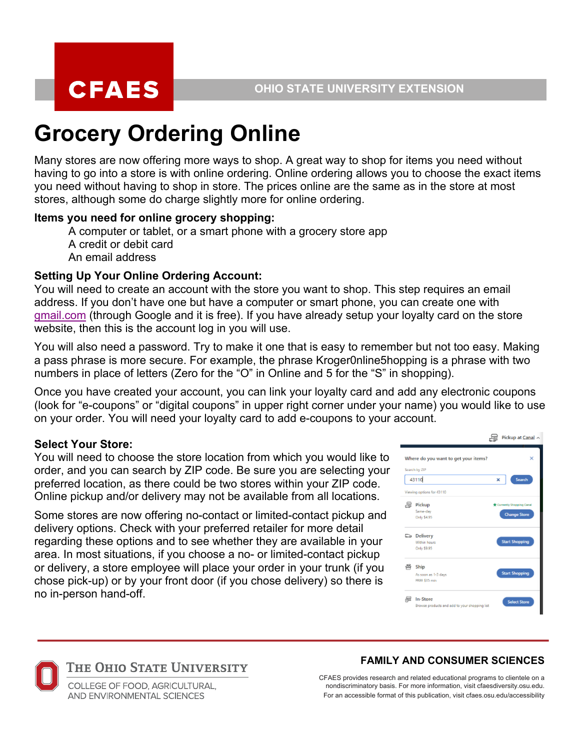# **Grocery Ordering Online**

Many stores are now offering more ways to shop. A great way to shop for items you need without having to go into a store is with online ordering. Online ordering allows you to choose the exact items you need without having to shop in store. The prices online are the same as in the store at most stores, although some do charge slightly more for online ordering.

## **Items you need for online grocery shopping:**

A computer or tablet, or a smart phone with a grocery store app A credit or debit card An email address

## **Setting Up Your Online Ordering Account:**

You will need to create an account with the store you want to shop. This step requires an email address. If you don't have one but have a computer or smart phone, you can create one with gmail.com (through Google and it is free). If you have already setup your loyalty card on the store website, then this is the account log in you will use.

You will also need a password. Try to make it one that is easy to remember but not too easy. Making a pass phrase is more secure. For example, the phrase Kroger0nline5hopping is a phrase with two numbers in place of letters (Zero for the "O" in Online and 5 for the "S" in shopping).

Once you have created your account, you can link your loyalty card and add any electronic coupons (look for "e-coupons" or "digital coupons" in upper right corner under your name) you would like to use on your order. You will need your loyalty card to add e-coupons to your account.

## **Select Your Store:**

You will need to choose the store location from which you would like to order, and you can search by ZIP code. Be sure you are selecting your preferred location, as there could be two stores within your ZIP code. Online pickup and/or delivery may not be available from all locations.

Some stores are now offering no-contact or limited-contact pickup and delivery options. Check with your preferred retailer for more detail regarding these options and to see whether they are available in your area. In most situations, if you choose a no- or limited-contact pickup or delivery, a store employee will place your order in your trunk (if you chose pick-up) or by your front door (if you chose delivery) so there is no in-person hand-off.

|       |                                                           |   | Pickup at Canal ^                               |   |
|-------|-----------------------------------------------------------|---|-------------------------------------------------|---|
|       | Where do you want to get your items?                      |   |                                                 | × |
|       | Search by ZIP                                             |   |                                                 |   |
| 43110 |                                                           | × | Search                                          |   |
|       | Viewing options for 43110                                 |   |                                                 |   |
| a     | Pickup<br>Same-day<br>Only \$4.95                         |   | Currently Shopping Canal<br><b>Change Store</b> |   |
|       | <b>ේ Delivery</b><br>Within hours<br>Only \$9.95          |   | <b>Start Shopping</b>                           |   |
| 些     | Ship<br>As soon as 1-3 days<br><b>FREE \$35 min</b>       |   | <b>Start Shopping</b>                           |   |
| 剬     | In-Store<br>Browse products and add to your shopping list |   | <b>Select Store</b>                             |   |

#### **FAMILY AND CONSUMER SCIENCES**

THE OHIO STATE UNIVERSITY COLLEGE OF FOOD, AGRICULTURAL,

AND FNVIRONMENTAL SCIENCES

CFAES provides research and related educational programs to clientele on a nondiscriminatory basis. For more information, visit cfaesdiversity.osu.edu. For an accessible format of this publication, visit cfaes.osu.edu/accessibility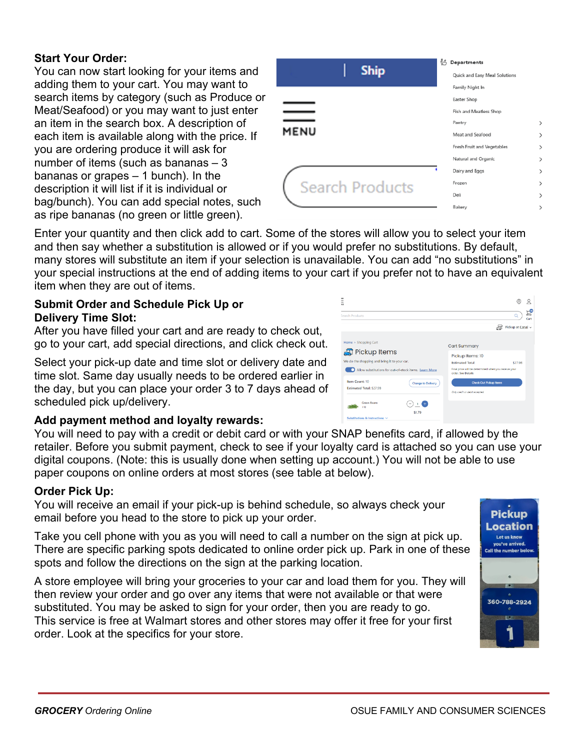#### **Start Your Order:**

You can now start looking for your items and adding them to your cart. You may want to search items by category (such as Produce or Meat/Seafood) or you may want to just enter an item in the search box. A description of each item is available along with the price. If you are ordering produce it will ask for number of items (such as bananas  $-3$ bananas or grapes  $-1$  bunch). In the description it will list if it is individual or bag/bunch). You can add special notes, such as ripe bananas (no green or little green).

| <b>Ship</b>            | Č<br>Departments<br>Quick and Easy Meal Solutions |               |
|------------------------|---------------------------------------------------|---------------|
|                        | Family Night In                                   |               |
|                        | Easter Shop                                       |               |
|                        | Fish and Meatless Shop                            |               |
|                        | Pantry                                            | $\mathcal{E}$ |
| <b>MENU</b>            | Meat and Seafood                                  | $\,$          |
|                        | Fresh Fruit and Vegetables                        | $\mathcal{P}$ |
|                        | Natural and Organic                               | $\mathcal{P}$ |
|                        | Dairy and Eggs                                    | $\mathcal{P}$ |
| <b>Search Products</b> | Frozen                                            | $\mathcal{P}$ |
|                        | Deli                                              | $\mathcal{P}$ |
|                        | Bakery                                            | >             |

Enter your quantity and then click add to cart. Some of the stores will allow you to select your item and then say whether a substitution is allowed or if you would prefer no substitutions. By default, many stores will substitute an item if your selection is unavailable. You can add "no substitutions" in your special instructions at the end of adding items to your cart if you prefer not to have an equivalent item when they are out of items.

#### **Submit Order and Schedule Pick Up or Delivery Time Slot:**

After you have filled your cart and are ready to check out, go to your cart, add special directions, and click check out.

Select your pick-up date and time slot or delivery date and time slot. Same day usually needs to be ordered earlier in the day, but you can place your order 3 to 7 days ahead of scheduled pick up/delivery.

## **Add payment method and loyalty rewards:**

You will need to pay with a credit or debit card or with your SNAP benefits card, if allowed by the retailer. Before you submit payment, check to see if your loyalty card is attached so you can use your digital coupons. (Note: this is usually done when setting up account.) You will not be able to use paper coupons on online orders at most stores (see table at below).

#### **Order Pick Up:**

You will receive an email if your pick-up is behind schedule, so always check your email before you head to the store to pick up your order.

Take you cell phone with you as you will need to call a number on the sign at pick up. There are specific parking spots dedicated to online order pick up. Park in one of these spots and follow the directions on the sign at the parking location.

A store employee will bring your groceries to your car and load them for you. They will then review your order and go over any items that were not available or that were substituted. You may be asked to sign for your order, then you are ready to go. This service is free at Walmart stores and other stores may offer it free for your first order. Look at the specifics for your store.

| ëU                                                                      |                                                                            | (o)     |           |
|-------------------------------------------------------------------------|----------------------------------------------------------------------------|---------|-----------|
| <b>Search Products</b>                                                  |                                                                            |         | e<br>Cart |
|                                                                         | Pickup at Canal ~<br>اتتا۔                                                 |         |           |
| Home > Shopping Cart                                                    | <b>Cart Summary</b>                                                        |         |           |
| <b>R</b> Pickup Items<br>We do the shopping and bring it to your car.   | Pickup Items: 10<br><b>Estimated Total:</b>                                | \$27.98 |           |
| Allow substitutions for out-of-stock items. Learn More                  | Final price will be determined when you receive your<br>order, See Details |         |           |
| Item Count: 10<br>Change to Delivery<br><b>Estimated Total: \$27.98</b> | <b>Check Out Pickup Items</b>                                              |         |           |
|                                                                         | Only credit or debit accepted.                                             |         |           |
| <b>Green Reans</b><br>Œ<br>7.85                                         |                                                                            |         |           |
| \$1.79<br>Substitutions & Instructions V                                |                                                                            |         |           |